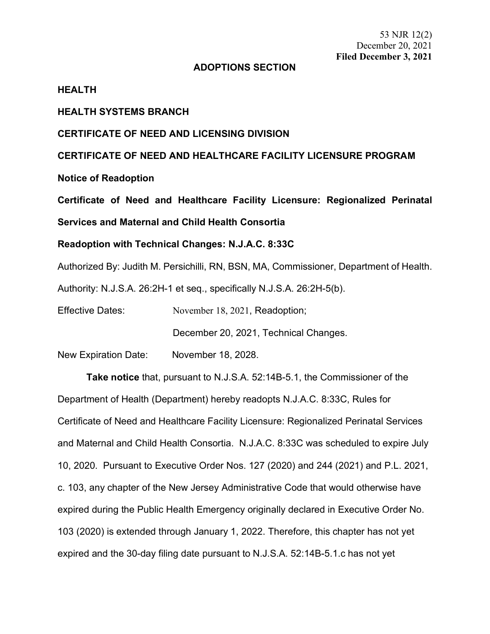53 NJR 12(2) December 20, 2021 **Filed December 3, 2021**

# **ADOPTIONS SECTION**

#### **HEALTH**

## **HEALTH SYSTEMS BRANCH**

## **CERTIFICATE OF NEED AND LICENSING DIVISION**

**CERTIFICATE OF NEED AND HEALTHCARE FACILITY LICENSURE PROGRAM**

**Notice of Readoption**

**Certificate of Need and Healthcare Facility Licensure: Regionalized Perinatal** 

**Services and Maternal and Child Health Consortia**

## **Readoption with Technical Changes: N.J.A.C. 8:33C**

Authorized By: Judith M. Persichilli, RN, BSN, MA, Commissioner, Department of Health.

Authority: N.J.S.A. 26:2H-1 et seq., specifically N.J.S.A. 26:2H-5(b).

Effective Dates: November 18, 2021, Readoption;

December 20, 2021, Technical Changes.

New Expiration Date: November 18, 2028.

**Take notice** that, pursuant to N.J.S.A. 52:14B-5.1, the Commissioner of the Department of Health (Department) hereby readopts N.J.A.C. 8:33C, Rules for Certificate of Need and Healthcare Facility Licensure: Regionalized Perinatal Services and Maternal and Child Health Consortia. N.J.A.C. 8:33C was scheduled to expire July 10, 2020. Pursuant to Executive Order Nos. 127 (2020) and 244 (2021) and P.L. 2021, c. 103, any chapter of the New Jersey Administrative Code that would otherwise have expired during the Public Health Emergency originally declared in Executive Order No. 103 (2020) is extended through January 1, 2022. Therefore, this chapter has not yet expired and the 30-day filing date pursuant to N.J.S.A. 52:14B-5.1.c has not yet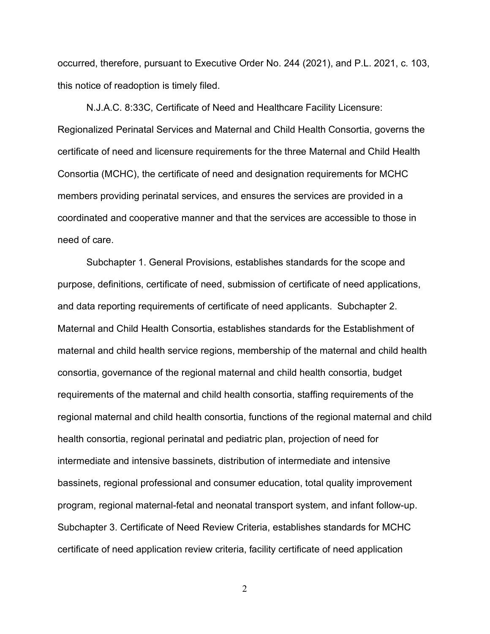occurred, therefore, pursuant to Executive Order No. 244 (2021), and P.L. 2021, c. 103, this notice of readoption is timely filed.

N.J.A.C. 8:33C, Certificate of Need and Healthcare Facility Licensure: Regionalized Perinatal Services and Maternal and Child Health Consortia, governs the certificate of need and licensure requirements for the three Maternal and Child Health Consortia (MCHC), the certificate of need and designation requirements for MCHC members providing perinatal services, and ensures the services are provided in a coordinated and cooperative manner and that the services are accessible to those in need of care.

Subchapter 1. General Provisions, establishes standards for the scope and purpose, definitions, certificate of need, submission of certificate of need applications, and data reporting requirements of certificate of need applicants. Subchapter 2. Maternal and Child Health Consortia, establishes standards for the Establishment of maternal and child health service regions, membership of the maternal and child health consortia, governance of the regional maternal and child health consortia, budget requirements of the maternal and child health consortia, staffing requirements of the regional maternal and child health consortia, functions of the regional maternal and child health consortia, regional perinatal and pediatric plan, projection of need for intermediate and intensive bassinets, distribution of intermediate and intensive bassinets, regional professional and consumer education, total quality improvement program, regional maternal-fetal and neonatal transport system, and infant follow-up. Subchapter 3. Certificate of Need Review Criteria, establishes standards for MCHC certificate of need application review criteria, facility certificate of need application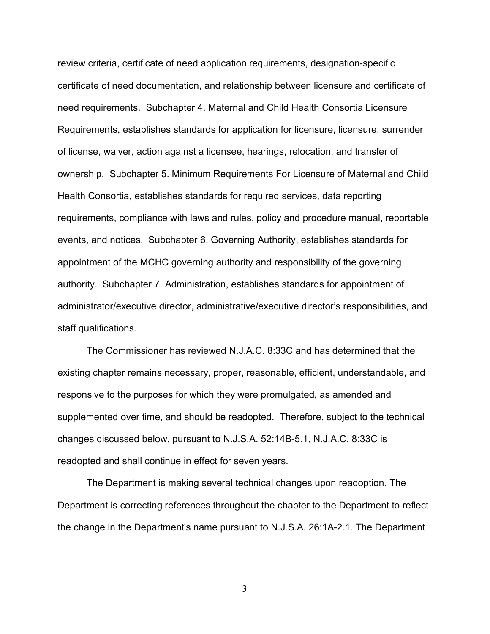review criteria, certificate of need application requirements, designation-specific certificate of need documentation, and relationship between licensure and certificate of need requirements. Subchapter 4. Maternal and Child Health Consortia Licensure Requirements, establishes standards for application for licensure, licensure, surrender of license, waiver, action against a licensee, hearings, relocation, and transfer of ownership. Subchapter 5. Minimum Requirements For Licensure of Maternal and Child Health Consortia, establishes standards for required services, data reporting requirements, compliance with laws and rules, policy and procedure manual, reportable events, and notices. Subchapter 6. Governing Authority, establishes standards for appointment of the MCHC governing authority and responsibility of the governing authority. Subchapter 7. Administration, establishes standards for appointment of administrator/executive director, administrative/executive director's responsibilities, and staff qualifications.

The Commissioner has reviewed N.J.A.C. 8:33C and has determined that the existing chapter remains necessary, proper, reasonable, efficient, understandable, and responsive to the purposes for which they were promulgated, as amended and supplemented over time, and should be readopted. Therefore, subject to the technical changes discussed below, pursuant to N.J.S.A. 52:14B-5.1, N.J.A.C. 8:33C is readopted and shall continue in effect for seven years.

The Department is making several technical changes upon readoption. The Department is correcting references throughout the chapter to the Department to reflect the change in the Department's name pursuant to [N.J.S.A. 26:1A-2.](https://advance.lexis.com/api/document?collection=statutes-legislation&id=urn:contentItem:5F0Y-C1R1-6F13-00JD-00000-00&context=1000516)1. The Department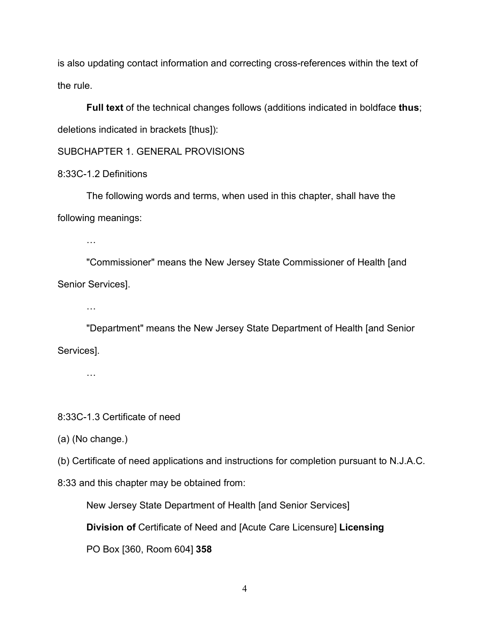is also updating contact information and correcting cross-references within the text of the rule.

**Full text** of the technical changes follows (additions indicated in boldface **thus**; deletions indicated in brackets [thus]):

SUBCHAPTER 1. GENERAL PROVISIONS

8:33C-1.2 Definitions

The following words and terms, when used in this chapter, shall have the following meanings:

…

 "Commissioner" means the New Jersey State Commissioner of Health [and Senior Services].

…

 "Department" means the New Jersey State Department of Health [and Senior Services].

…

8:33C-1.3 Certificate of need

(a) (No change.)

(b) Certificate of need applications and instructions for completion pursuant to [N.J.A.C.](https://advance.lexis.com/api/document?collection=administrative-codes&id=urn:contentItem:5XKV-PW91-F7ND-G1BN-00009-00&context=1000516) 

[8:33](https://advance.lexis.com/api/document?collection=administrative-codes&id=urn:contentItem:5XKV-PW91-F7ND-G1BN-00009-00&context=1000516) and this chapter may be obtained from:

New Jersey State Department of Health [and Senior Services]

**Division of** Certificate of Need and [Acute Care Licensure] **Licensing**

PO Box [360, Room 604] **358**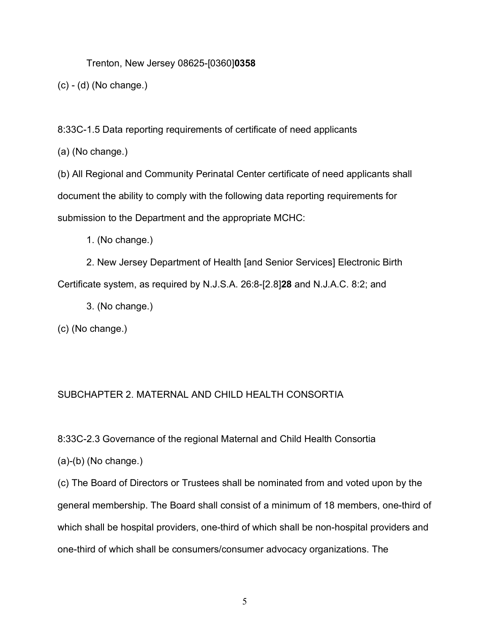Trenton, New Jersey 08625-[0360]**0358**

(c) - (d) (No change.)

8:33C-1.5 Data reporting requirements of certificate of need applicants

(a) (No change.)

(b) All Regional and Community Perinatal Center certificate of need applicants shall document the ability to comply with the following data reporting requirements for submission to the Department and the appropriate MCHC:

1. (No change.)

2. New Jersey Department of Health [and Senior Services] Electronic Birth Certificate system, as required by N.J.S.A. 26:8-[2.8]**28** and [N.J.A.C. 8:2;](https://advance.lexis.com/api/document?collection=administrative-codes&id=urn:contentItem:5XKV-PWC1-JTGH-B04Y-00009-00&context=1000516) and

3. (No change.)

(c) (No change.)

# SUBCHAPTER 2. MATERNAL AND CHILD HEALTH CONSORTIA

8:33C-2.3 Governance of the regional Maternal and Child Health Consortia

(a)-(b) (No change.)

(c) The Board of Directors or Trustees shall be nominated from and voted upon by the general membership. The Board shall consist of a minimum of 18 members, one-third of which shall be hospital providers, one-third of which shall be non-hospital providers and one-third of which shall be consumers/consumer advocacy organizations. The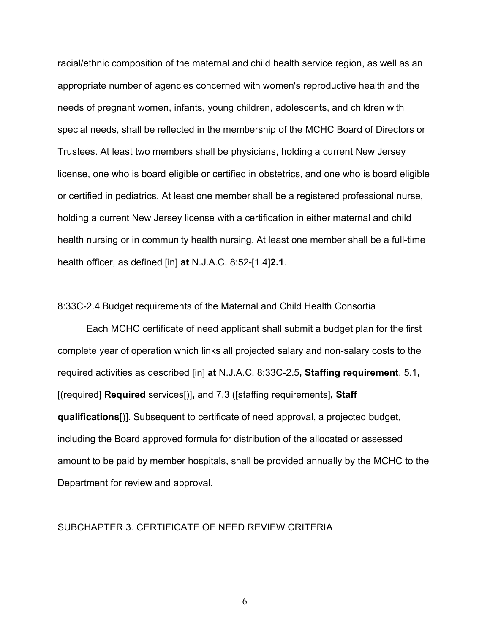racial/ethnic composition of the maternal and child health service region, as well as an appropriate number of agencies concerned with women's reproductive health and the needs of pregnant women, infants, young children, adolescents, and children with special needs, shall be reflected in the membership of the MCHC Board of Directors or Trustees. At least two members shall be physicians, holding a current New Jersey license, one who is board eligible or certified in obstetrics, and one who is board eligible or certified in pediatrics. At least one member shall be a registered professional nurse, holding a current New Jersey license with a certification in either maternal and child health nursing or in community health nursing. At least one member shall be a full-time health officer, as defined [in] **at** [N.J.A.C. 8:52-\[1.4\]](https://advance.lexis.com/api/document?collection=administrative-codes&id=urn:contentItem:5XKV-PW91-JW5H-X53G-00009-00&context=1000516)**2.1**.

#### 8:33C-2.4 Budget requirements of the Maternal and Child Health Consortia

Each MCHC certificate of need applicant shall submit a budget plan for the first complete year of operation which links all projected salary and non-salary costs to the required activities as described [in] **at** [N.J.A.C. 8:33C-2.5](https://advance.lexis.com/api/document?collection=administrative-codes&id=urn:contentItem:5XKV-PW21-JS0R-23N6-00009-00&context=1000516)**, Staffing requirement**, [5.1](https://advance.lexis.com/api/document?collection=administrative-codes&id=urn:contentItem:5XKV-PW61-JW09-M1C6-00009-00&context=1000516)**,** [(required] **Required** services[)]**,** and 7.3 ([staffing requirements]**, Staff qualifications**[)]. Subsequent to certificate of need approval, a projected budget, including the Board approved formula for distribution of the allocated or assessed amount to be paid by member hospitals, shall be provided annually by the MCHC to the Department for review and approval.

# SUBCHAPTER 3. CERTIFICATE OF NEED REVIEW CRITERIA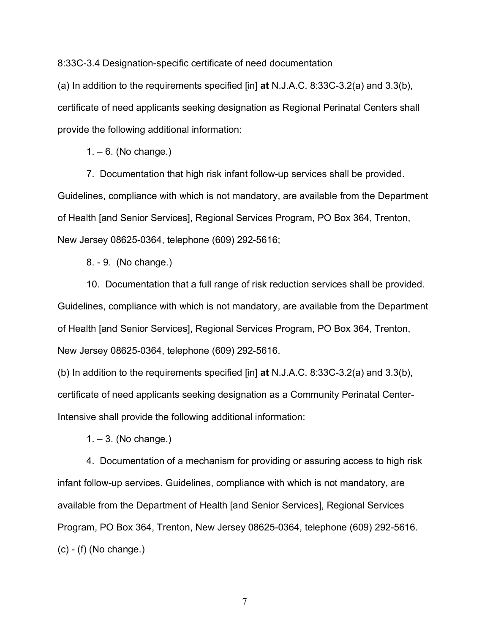8:33C-3.4 Designation-specific certificate of need documentation

(a) In addition to the requirements specified [in] **at** [N.J.A.C. 8:33C-3.2\(a\)](https://advance.lexis.com/api/document?collection=administrative-codes&id=urn:contentItem:5XKV-PWF1-F4W2-60KV-00009-00&context=1000516) and [3.3\(b\),](https://advance.lexis.com/api/document?collection=administrative-codes&id=urn:contentItem:5XKV-PW91-F7ND-G0V3-00009-00&context=1000516) certificate of need applicants seeking designation as Regional Perinatal Centers shall provide the following additional information:

 $1 - 6$ . (No change.)

7. Documentation that high risk infant follow-up services shall be provided. Guidelines, compliance with which is not mandatory, are available from the Department of Health [and Senior Services], Regional Services Program, PO Box 364, Trenton, New Jersey 08625-0364, telephone (609) 292-5616;

8. - 9. (No change.)

10. Documentation that a full range of risk reduction services shall be provided. Guidelines, compliance with which is not mandatory, are available from the Department of Health [and Senior Services], Regional Services Program, PO Box 364, Trenton, New Jersey 08625-0364, telephone (609) 292-5616.

(b) In addition to the requirements specified [in] **at** [N.J.A.C. 8:33C-3.2\(a\)](https://advance.lexis.com/api/document?collection=administrative-codes&id=urn:contentItem:5XKV-PWF1-F4W2-60KV-00009-00&context=1000516) and [3.3\(b\),](https://advance.lexis.com/api/document?collection=administrative-codes&id=urn:contentItem:5XKV-PW91-F7ND-G0V3-00009-00&context=1000516) certificate of need applicants seeking designation as a Community Perinatal Center-Intensive shall provide the following additional information:

 $1 - 3$ . (No change.)

4. Documentation of a mechanism for providing or assuring access to high risk infant follow-up services. Guidelines, compliance with which is not mandatory, are available from the Department of Health [and Senior Services], Regional Services Program, PO Box 364, Trenton, New Jersey 08625-0364, telephone (609) 292-5616. (c) - (f) (No change.)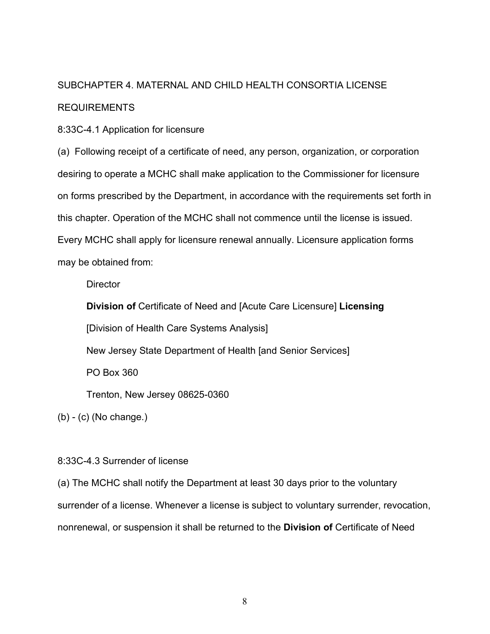# SUBCHAPTER 4. MATERNAL AND CHILD HEALTH CONSORTIA LICENSE REQUIREMENTS

8:33C-4.1 Application for licensure

(a) Following receipt of a certificate of need, any person, organization, or corporation desiring to operate a MCHC shall make application to the Commissioner for licensure on forms prescribed by the Department, in accordance with the requirements set forth in this chapter. Operation of the MCHC shall not commence until the license is issued. Every MCHC shall apply for licensure renewal annually. Licensure application forms may be obtained from:

**Director** 

 **Division of** Certificate of Need and [Acute Care Licensure] **Licensing** [Division of Health Care Systems Analysis] New Jersey State Department of Health [and Senior Services] PO Box 360 Trenton, New Jersey 08625-0360

(b) - (c) (No change.)

8:33C-4.3 Surrender of license

(a) The MCHC shall notify the Department at least 30 days prior to the voluntary surrender of a license. Whenever a license is subject to voluntary surrender, revocation, nonrenewal, or suspension it shall be returned to the **Division of** Certificate of Need